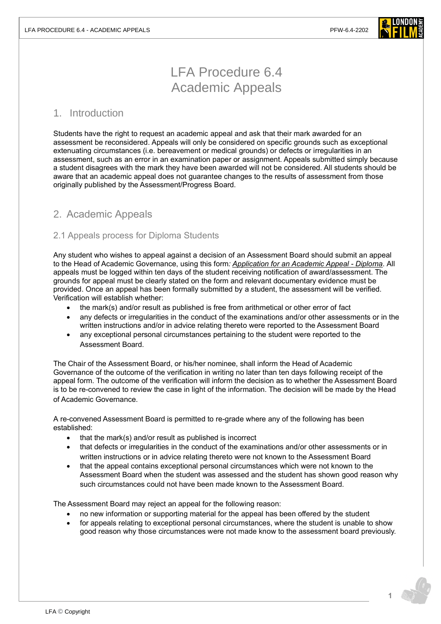

# LFA Procedure 6.4 Academic Appeals

## 1. Introduction

Students have the right to request an academic appeal and ask that their mark awarded for an assessment be reconsidered. Appeals will only be considered on specific grounds such as exceptional extenuating circumstances (i.e. bereavement or medical grounds) or defects or irregularities in an assessment, such as an error in an examination paper or assignment. Appeals submitted simply because a student disagrees with the mark they have been awarded will not be considered. All students should be aware that an academic appeal does not guarantee changes to the results of assessment from those originally published by the Assessment/Progress Board.

# 2. Academic Appeals

## 2.1 Appeals process for Diploma Students

Any student who wishes to appeal against a decision of an Assessment Board should submit an appeal to the Head of Academic Governance, using this form*: [Application for an Academic Appeal -](https://forms.office.com/r/zRGRUGUpwY) Diploma*. All appeals must be logged within ten days of the student receiving notification of award/assessment. The grounds for appeal must be clearly stated on the form and relevant documentary evidence must be provided. Once an appeal has been formally submitted by a student, the assessment will be verified. Verification will establish whether:

- the mark(s) and/or result as published is free from arithmetical or other error of fact
- any defects or irregularities in the conduct of the examinations and/or other assessments or in the written instructions and/or in advice relating thereto were reported to the Assessment Board
- any exceptional personal circumstances pertaining to the student were reported to the Assessment Board.

The Chair of the Assessment Board, or his/her nominee, shall inform the Head of Academic Governance of the outcome of the verification in writing no later than ten days following receipt of the appeal form. The outcome of the verification will inform the decision as to whether the Assessment Board is to be re-convened to review the case in light of the information. The decision will be made by the Head of Academic Governance.

A re-convened Assessment Board is permitted to re-grade where any of the following has been established:

- that the mark(s) and/or result as published is incorrect
- that defects or irregularities in the conduct of the examinations and/or other assessments or in written instructions or in advice relating thereto were not known to the Assessment Board
- that the appeal contains exceptional personal circumstances which were not known to the Assessment Board when the student was assessed and the student has shown good reason why such circumstances could not have been made known to the Assessment Board.

The Assessment Board may reject an appeal for the following reason:

- no new information or supporting material for the appeal has been offered by the student
- for appeals relating to exceptional personal circumstances, where the student is unable to show good reason why those circumstances were not made know to the assessment board previously.